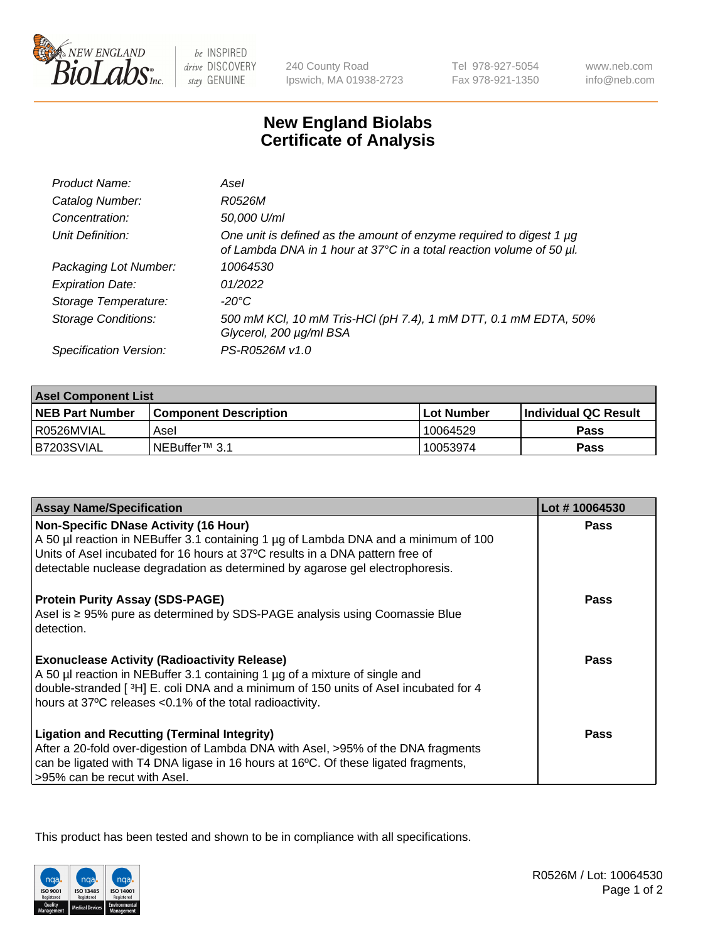

be INSPIRED drive DISCOVERY stay GENUINE

240 County Road Ipswich, MA 01938-2723 Tel 978-927-5054 Fax 978-921-1350

www.neb.com info@neb.com

## **New England Biolabs Certificate of Analysis**

| Product Name:              | Asel                                                                                                                                        |
|----------------------------|---------------------------------------------------------------------------------------------------------------------------------------------|
| Catalog Number:            | R0526M                                                                                                                                      |
| Concentration:             | 50,000 U/ml                                                                                                                                 |
| Unit Definition:           | One unit is defined as the amount of enzyme required to digest 1 µg<br>of Lambda DNA in 1 hour at 37°C in a total reaction volume of 50 µl. |
| Packaging Lot Number:      | 10064530                                                                                                                                    |
| <b>Expiration Date:</b>    | 01/2022                                                                                                                                     |
| Storage Temperature:       | $-20^{\circ}$ C                                                                                                                             |
| <b>Storage Conditions:</b> | 500 mM KCI, 10 mM Tris-HCI (pH 7.4), 1 mM DTT, 0.1 mM EDTA, 50%<br>Glycerol, 200 µg/ml BSA                                                  |
| Specification Version:     | PS-R0526M v1.0                                                                                                                              |

| <b>Asel Component List</b> |                              |              |                       |  |
|----------------------------|------------------------------|--------------|-----------------------|--|
| <b>NEB Part Number</b>     | <b>Component Description</b> | l Lot Number | ∣Individual QC Result |  |
| R0526MVIAL                 | Asel                         | 10064529     | Pass                  |  |
| B7203SVIAL                 | INEBuffer™ 3.1               | 10053974     | Pass                  |  |

| <b>Assay Name/Specification</b>                                                                                                                                                                                                                                                                       | Lot #10064530 |
|-------------------------------------------------------------------------------------------------------------------------------------------------------------------------------------------------------------------------------------------------------------------------------------------------------|---------------|
| <b>Non-Specific DNase Activity (16 Hour)</b><br>A 50 µl reaction in NEBuffer 3.1 containing 1 µg of Lambda DNA and a minimum of 100<br>Units of Asel incubated for 16 hours at 37°C results in a DNA pattern free of<br>detectable nuclease degradation as determined by agarose gel electrophoresis. | Pass          |
| <b>Protein Purity Assay (SDS-PAGE)</b><br>Asel is ≥ 95% pure as determined by SDS-PAGE analysis using Coomassie Blue<br>detection.                                                                                                                                                                    | Pass          |
| <b>Exonuclease Activity (Radioactivity Release)</b><br>A 50 µl reaction in NEBuffer 3.1 containing 1 µg of a mixture of single and<br>double-stranded [3H] E. coli DNA and a minimum of 150 units of Asel incubated for 4<br>hours at 37°C releases <0.1% of the total radioactivity.                 | <b>Pass</b>   |
| <b>Ligation and Recutting (Terminal Integrity)</b><br>After a 20-fold over-digestion of Lambda DNA with Asel, >95% of the DNA fragments<br>can be ligated with T4 DNA ligase in 16 hours at 16°C. Of these ligated fragments,<br>>95% can be recut with Asel.                                         | Pass          |

This product has been tested and shown to be in compliance with all specifications.